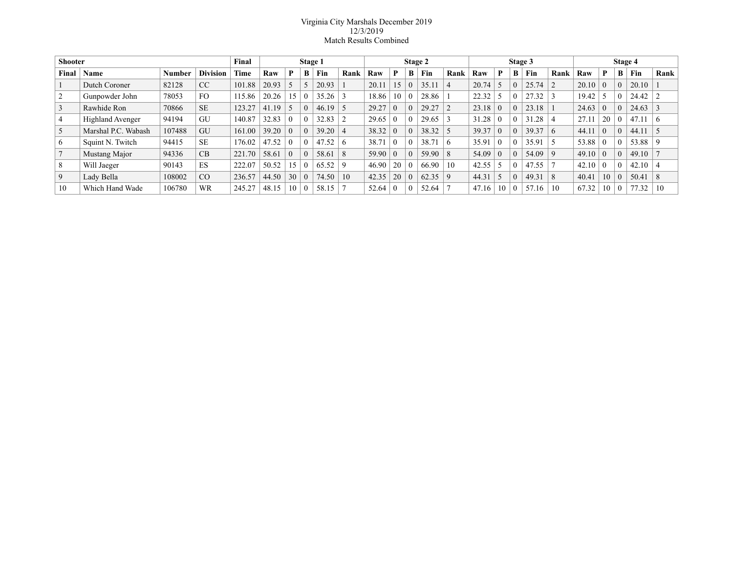## Virginia City Marshals December 2019 12/3/2019 Match Results Combined

| <b>Shooter</b> |                     |        | Final           | Stage 1 |       |          |          | Stage 2 |      |       |    | Stage 3  |       |             |       |          | Stage 4  |             |                |       |                |   |       |          |
|----------------|---------------------|--------|-----------------|---------|-------|----------|----------|---------|------|-------|----|----------|-------|-------------|-------|----------|----------|-------------|----------------|-------|----------------|---|-------|----------|
| Final          | Name                | Number | <b>Division</b> | Time    | Raw   | P        | B        | Fin     | Rank | Raw   | P  | B        | Fin   | Rank        | Raw   | P        | B        | Fin         | Rank           | Raw   | P              | B | Fin   | Rank     |
|                | Dutch Coroner       | 82128  | CC              | 101.88  | 20.93 |          |          | 20.93   |      | 20.11 | 15 | $\Omega$ | 35.11 |             | 20.74 |          | $\theta$ | 25.74       |                | 20.10 | $\theta$       |   | 20.10 |          |
|                | Gunpowder John      | 78053  | FO.             | 115.86  | 20.26 | 15       | $\theta$ | 35.26   |      | 18.86 | 10 | O        | 28.86 |             | 22.32 |          |          | 27.32       |                | 19.42 |                |   | 24.42 |          |
|                | Rawhide Ron         | 70866  | <b>SE</b>       | 123.27  | 41.19 |          | $\theta$ | 46.19   |      | 29.27 |    | $\theta$ | 29.27 |             | 23.18 | $\theta$ | $\theta$ | 23.18       |                | 24.63 | $\theta$       |   | 24.63 |          |
|                | Highland Avenger    | 94194  | GU              | 140.87  | 32.83 |          | $\theta$ | 32.83   |      | 29.65 |    |          | 29.65 |             | 31.28 | $\theta$ | $\theta$ | 31.28       |                | 27.11 | 20             |   | 47.11 | $\sigma$ |
| 5              | Marshal P.C. Wabash | 107488 | GU              | 161.00  | 39.20 | $\theta$ | $\theta$ | 39.20   |      | 38.32 |    | $\theta$ | 38.32 |             | 39.37 | $\theta$ | $\Omega$ | 39.37       | $\overline{6}$ | 44.11 | $\theta$       |   | 44.11 |          |
| 6              | Squint N. Twitch    | 94415  | <b>SE</b>       | 176.02  | 47.52 | $\Omega$ | $\Omega$ | 47.52   | 6    | 38.71 |    |          | 38.71 | 6           | 35.91 | $\theta$ | $\Omega$ | 35.91       |                | 53.88 | $\theta$       |   | 53.88 | -9       |
|                | Mustang Major       | 94336  | CB              | 221.70  | 58.61 | $\theta$ | $\theta$ | 58.61   | 8    | 59.90 |    | $\Omega$ | 59.90 | 8           | 54.09 | $\theta$ | $\Omega$ | $54.09$   9 |                | 49.10 | $\overline{0}$ |   | 49.10 |          |
| 8              | Will Jaeger         | 90143  | ES              | 222.07  | 50.52 | 15       | $\theta$ | 65.52   |      | 46.90 | 20 |          | 66.90 | 10          | 42.55 |          | $\Omega$ | 47.55       |                | 42.10 | $\Omega$       |   | 42.10 |          |
| 9              | Lady Bella          | 108002 | CO              | 236.57  | 44.50 | 30       | $\theta$ | 74.50   | 10   | 42.35 | 20 | $\theta$ | 62.35 | $\mathbf Q$ | 44.31 |          | $\theta$ | 49.31       | 8              | 40.41 | 10             |   | 50.41 | 8        |
| 10             | Which Hand Wade     | 106780 | <b>WR</b>       | 245.27  | 48.15 | 10       | $\Omega$ | 58.15   |      | 52.64 |    | $\Omega$ | 52.64 |             | 47.16 | 10       | $\Omega$ | 57.<br>.16  | 10             | 67.32 | 10             |   | 77.32 | 10       |